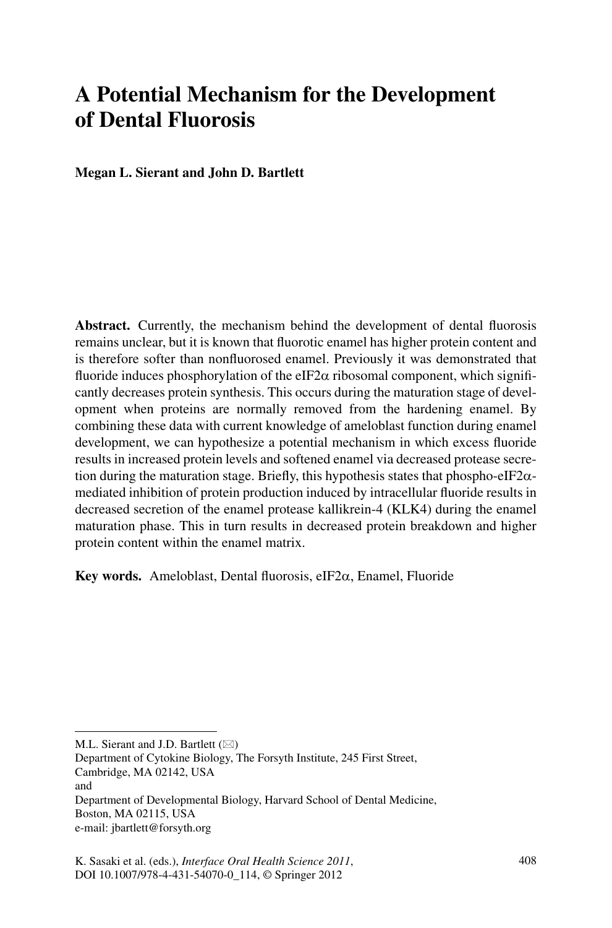# **A Potential Mechanism for the Development of Dental Fluorosis**

**Megan L. Sierant and John D. Bartlett** 

**Abstract.** Currently, the mechanism behind the development of dental fluorosis remains unclear, but it is known that fluorotic enamel has higher protein content and is therefore softer than nonfluorosed enamel. Previously it was demonstrated that fluoride induces phosphorylation of the eIF2 $\alpha$  ribosomal component, which significantly decreases protein synthesis. This occurs during the maturation stage of development when proteins are normally removed from the hardening enamel. By combining these data with current knowledge of ameloblast function during enamel development, we can hypothesize a potential mechanism in which excess fluoride results in increased protein levels and softened enamel via decreased protease secretion during the maturation stage. Briefly, this hypothesis states that phospho-eIF2 $\alpha$ mediated inhibition of protein production induced by intracellular fluoride results in decreased secretion of the enamel protease kallikrein-4 (KLK4) during the enamel maturation phase. This in turn results in decreased protein breakdown and higher protein content within the enamel matrix.

**Key words.** Ameloblast, Dental fluorosis, eIF2a, Enamel, Fluoride

M.L. Sierant and J.D. Bartlett  $(\boxtimes)$ 

Department of Cytokine Biology, The Forsyth Institute, 245 First Street, Cambridge, MA 02142, USA and

Department of Developmental Biology, Harvard School of Dental Medicine, Boston, MA 02115, USA e-mail: jbartlett@forsyth.org

K. Sasaki et al. (eds.), *Interface Oral Health Science 2011*, 408 DOI 10.1007/978-4-431-54070-0\_114, © Springer 2012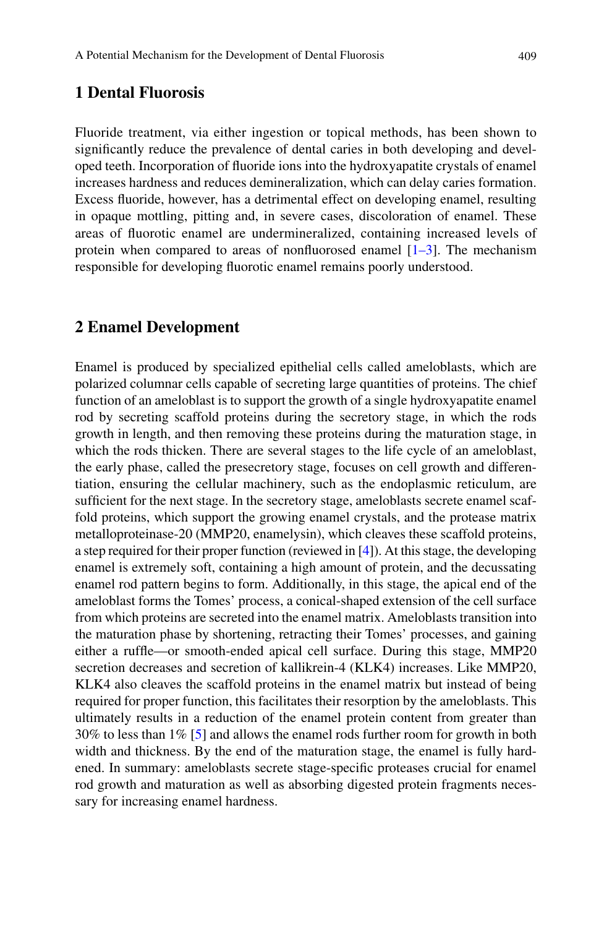# **1 Dental Fluorosis**

Fluoride treatment, via either ingestion or topical methods, has been shown to significantly reduce the prevalence of dental caries in both developing and developed teeth. Incorporation of fluoride ions into the hydroxyapatite crystals of enamel increases hardness and reduces demineralization, which can delay caries formation. Excess fluoride, however, has a detrimental effect on developing enamel, resulting in opaque mottling, pitting and, in severe cases, discoloration of enamel. These areas of fluorotic enamel are undermineralized, containing increased levels of protein when compared to areas of nonfluorosed enamel  $[1-3]$  $[1-3]$ . The mechanism responsible for developing fluorotic enamel remains poorly understood.

#### **2 Enamel Development**

Enamel is produced by specialized epithelial cells called ameloblasts, which are polarized columnar cells capable of secreting large quantities of proteins. The chief function of an ameloblast is to support the growth of a single hydroxyapatite enamel rod by secreting scaffold proteins during the secretory stage, in which the rods growth in length, and then removing these proteins during the maturation stage, in which the rods thicken. There are several stages to the life cycle of an ameloblast, the early phase, called the presecretory stage, focuses on cell growth and differentiation, ensuring the cellular machinery, such as the endoplasmic reticulum, are sufficient for the next stage. In the secretory stage, ameloblasts secrete enamel scaffold proteins, which support the growing enamel crystals, and the protease matrix metalloproteinase-20 (MMP20, enamelysin), which cleaves these scaffold proteins, a step required for their proper function (reviewed in [\[4](#page-3-2)]). At this stage, the developing enamel is extremely soft, containing a high amount of protein, and the decussating enamel rod pattern begins to form. Additionally, in this stage, the apical end of the ameloblast forms the Tomes' process, a conical-shaped extension of the cell surface from which proteins are secreted into the enamel matrix. Ameloblasts transition into the maturation phase by shortening, retracting their Tomes' processes, and gaining either a ruffle—or smooth-ended apical cell surface. During this stage, MMP20 secretion decreases and secretion of kallikrein-4 (KLK4) increases. Like MMP20, KLK4 also cleaves the scaffold proteins in the enamel matrix but instead of being required for proper function, this facilitates their resorption by the ameloblasts. This ultimately results in a reduction of the enamel protein content from greater than 30% to less than 1% [\[5](#page-3-3)] and allows the enamel rods further room for growth in both width and thickness. By the end of the maturation stage, the enamel is fully hardened. In summary: ameloblasts secrete stage-specific proteases crucial for enamel rod growth and maturation as well as absorbing digested protein fragments necessary for increasing enamel hardness.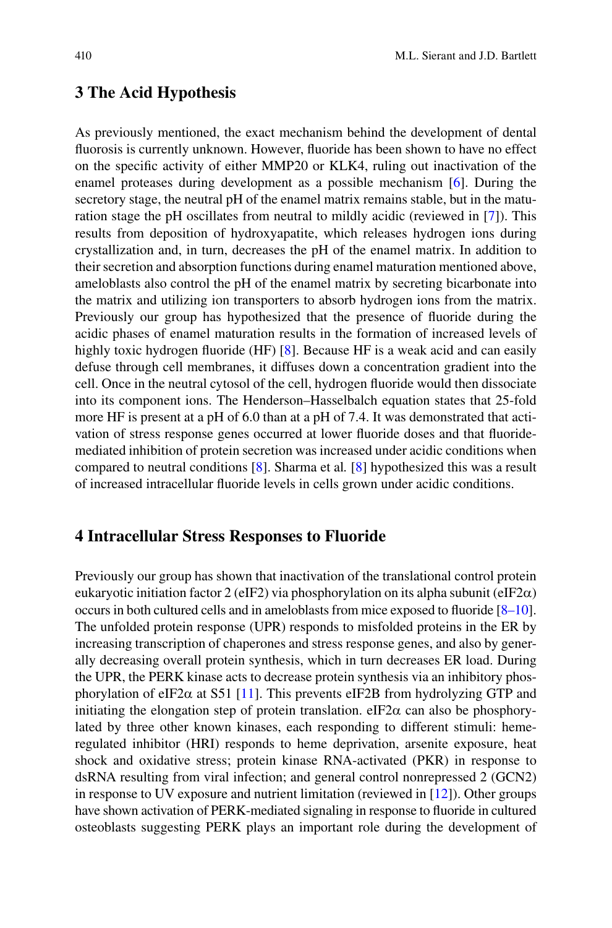### **3 The Acid Hypothesis**

As previously mentioned, the exact mechanism behind the development of dental fluorosis is currently unknown. However, fluoride has been shown to have no effect on the specific activity of either MMP20 or KLK4, ruling out inactivation of the enamel proteases during development as a possible mechanism [[6\]](#page-3-4). During the secretory stage, the neutral pH of the enamel matrix remains stable, but in the maturation stage the pH oscillates from neutral to mildly acidic (reviewed in [[7\]](#page-3-5)). This results from deposition of hydroxyapatite, which releases hydrogen ions during crystallization and, in turn, decreases the pH of the enamel matrix. In addition to their secretion and absorption functions during enamel maturation mentioned above, ameloblasts also control the pH of the enamel matrix by secreting bicarbonate into the matrix and utilizing ion transporters to absorb hydrogen ions from the matrix. Previously our group has hypothesized that the presence of fluoride during the acidic phases of enamel maturation results in the formation of increased levels of highly toxic hydrogen fluoride (HF) [\[8](#page-3-6)]. Because HF is a weak acid and can easily defuse through cell membranes, it diffuses down a concentration gradient into the cell. Once in the neutral cytosol of the cell, hydrogen fluoride would then dissociate into its component ions. The Henderson–Hasselbalch equation states that 25-fold more HF is present at a pH of 6.0 than at a pH of 7.4. It was demonstrated that activation of stress response genes occurred at lower fluoride doses and that fluoridemediated inhibition of protein secretion was increased under acidic conditions when compared to neutral conditions [[8\]](#page-3-6). Sharma et al*.* [\[8](#page-3-6)] hypothesized this was a result of increased intracellular fluoride levels in cells grown under acidic conditions.

## **4 Intracellular Stress Responses to Fluoride**

Previously our group has shown that inactivation of the translational control protein eukaryotic initiation factor 2 (eIF2) via phosphorylation on its alpha subunit (eIF2 $\alpha$ ) occurs in both cultured cells and in ameloblasts from mice exposed to fluoride [[8–](#page-3-6)[10\]](#page-4-0). The unfolded protein response (UPR) responds to misfolded proteins in the ER by increasing transcription of chaperones and stress response genes, and also by generally decreasing overall protein synthesis, which in turn decreases ER load. During the UPR, the PERK kinase acts to decrease protein synthesis via an inhibitory phosphorylation of eIF2 $\alpha$  at S51 [[11\]](#page-4-1). This prevents eIF2B from hydrolyzing GTP and initiating the elongation step of protein translation.  $eIF2\alpha$  can also be phosphorylated by three other known kinases, each responding to different stimuli: hemeregulated inhibitor (HRI) responds to heme deprivation, arsenite exposure, heat shock and oxidative stress; protein kinase RNA-activated (PKR) in response to dsRNA resulting from viral infection; and general control nonrepressed 2 (GCN2) in response to UV exposure and nutrient limitation (reviewed in [[12\]](#page-4-2)). Other groups have shown activation of PERK-mediated signaling in response to fluoride in cultured osteoblasts suggesting PERK plays an important role during the development of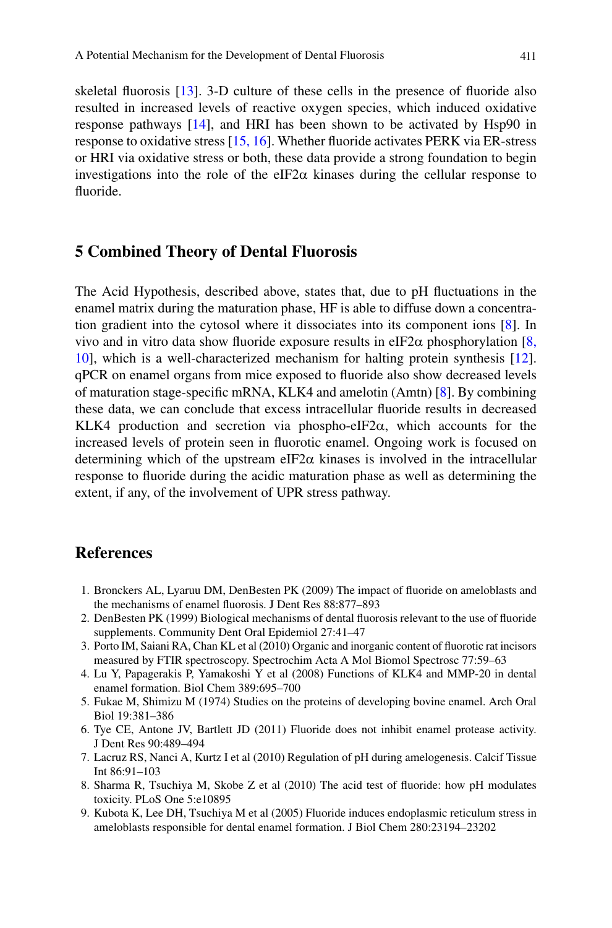skeletal fluorosis [\[13](#page-4-3)]. 3-D culture of these cells in the presence of fluoride also resulted in increased levels of reactive oxygen species, which induced oxidative response pathways [\[14](#page-4-4)], and HRI has been shown to be activated by Hsp90 in response to oxidative stress [[15,](#page-4-5) [16\]](#page-4-6). Whether fluoride activates PERK via ER-stress or HRI via oxidative stress or both, these data provide a strong foundation to begin investigations into the role of the eIF2 $\alpha$  kinases during the cellular response to fluoride.

#### **5 Combined Theory of Dental Fluorosis**

The Acid Hypothesis, described above, states that, due to pH fluctuations in the enamel matrix during the maturation phase, HF is able to diffuse down a concentration gradient into the cytosol where it dissociates into its component ions [[8\]](#page-3-6). In vivo and in vitro data show fluoride exposure results in eIF2 $\alpha$  phosphorylation [\[8,](#page-3-6) [10\]](#page-4-0), which is a well-characterized mechanism for halting protein synthesis [[12\]](#page-4-2). qPCR on enamel organs from mice exposed to fluoride also show decreased levels of maturation stage-specific mRNA, KLK4 and amelotin (Amtn) [[8\]](#page-3-6). By combining these data, we can conclude that excess intracellular fluoride results in decreased KLK4 production and secretion via phospho-eIF2 $\alpha$ , which accounts for the increased levels of protein seen in fluorotic enamel. Ongoing work is focused on determining which of the upstream eIF2 $\alpha$  kinases is involved in the intracellular response to fluoride during the acidic maturation phase as well as determining the extent, if any, of the involvement of UPR stress pathway.

## **References**

- <span id="page-3-0"></span>1. Bronckers AL, Lyaruu DM, DenBesten PK (2009) The impact of fluoride on ameloblasts and the mechanisms of enamel fluorosis. J Dent Res 88:877–893
- 2. DenBesten PK (1999) Biological mechanisms of dental fluorosis relevant to the use of fluoride supplements. Community Dent Oral Epidemiol 27:41–47
- <span id="page-3-1"></span>3. Porto IM, Saiani RA, Chan KL et al (2010) Organic and inorganic content of fluorotic rat incisors measured by FTIR spectroscopy. Spectrochim Acta A Mol Biomol Spectrosc 77:59–63
- <span id="page-3-2"></span>4. Lu Y, Papagerakis P, Yamakoshi Y et al (2008) Functions of KLK4 and MMP-20 in dental enamel formation. Biol Chem 389:695–700
- <span id="page-3-3"></span>5. Fukae M, Shimizu M (1974) Studies on the proteins of developing bovine enamel. Arch Oral Biol 19:381–386
- <span id="page-3-4"></span>6. Tye CE, Antone JV, Bartlett JD (2011) Fluoride does not inhibit enamel protease activity. J Dent Res 90:489–494
- <span id="page-3-5"></span>7. Lacruz RS, Nanci A, Kurtz I et al (2010) Regulation of pH during amelogenesis. Calcif Tissue Int 86:91–103
- <span id="page-3-6"></span>8. Sharma R, Tsuchiya M, Skobe Z et al (2010) The acid test of fluoride: how pH modulates toxicity. PLoS One 5:e10895
- 9. Kubota K, Lee DH, Tsuchiya M et al (2005) Fluoride induces endoplasmic reticulum stress in ameloblasts responsible for dental enamel formation. J Biol Chem 280:23194–23202